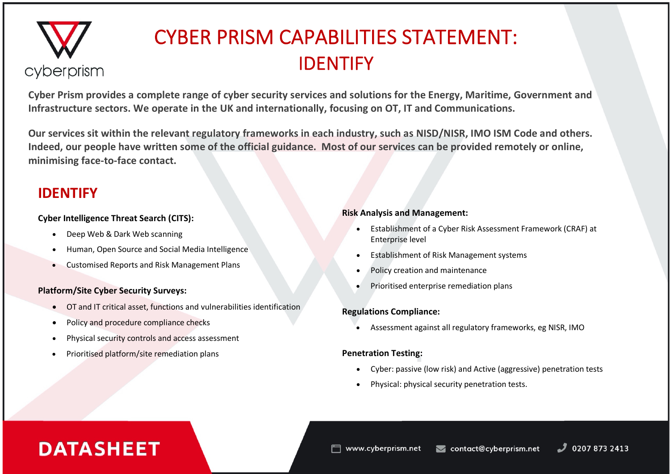# cyberprism

# CYBER PRISM CAPABILITIES STATEMENT: IDENTIFY

**Cyber Prism provides a complete range of cyber security services and solutions for the Energy, Maritime, Government and Infrastructure sectors. We operate in the UK and internationally, focusing on OT, IT and Communications.** 

**Our services sit within the relevant regulatory frameworks in each industry, such as NISD/NISR, IMO ISM Code and others. Indeed, our people have written some of the official guidance. Most of our services can be provided remotely or online, minimising face-to-face contact.**

### **IDENTIFY**

#### **Cyber Intelligence Threat Search (CITS):**

- Deep Web & Dark Web scanning
- Human, Open Source and Social Media Intelligence
- Customised Reports and Risk Management Plans

### **Platform/Site Cyber Security Surveys:**

- OT and IT critical asset, functions and vulnerabilities identification
- Policy and procedure compliance checks
- Physical security controls and access assessment
- Prioritised platform/site remediation plans

#### **Risk Analysis and Management:**

- Establishment of a Cyber Risk Assessment Framework (CRAF) at Enterprise level
- Establishment of Risk Management systems
- Policy creation and maintenance
- Prioritised enterprise remediation plans

### **Regulations Compliance:**

• Assessment against all regulatory frameworks, eg NISR, IMO

### **Penetration Testing:**

- Cyber: passive (low risk) and Active (aggressive) penetration tests
- Physical: physical security penetration tests.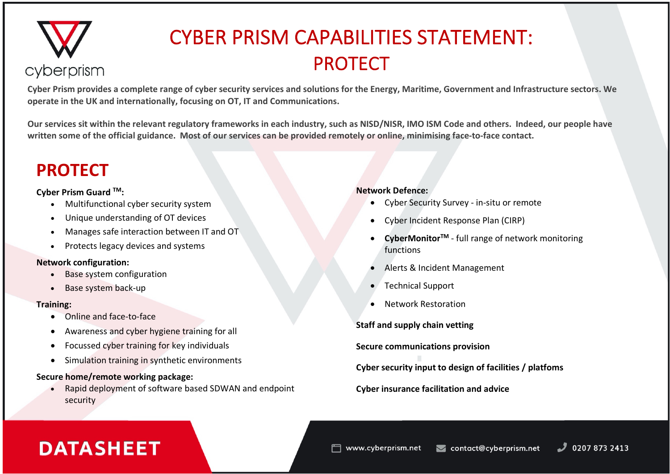

# CYBER PRISM CAPABILITIES STATEMENT: PROTECT

**Cyber Prism provides a complete range of cyber security services and solutions for the Energy, Maritime, Government and Infrastructure sectors. We operate in the UK and internationally, focusing on OT, IT and Communications.** 

**Our services sit within the relevant regulatory frameworks in each industry, such as NISD/NISR, IMO ISM Code and others. Indeed, our people have written some of the official guidance. Most of our services can be provided remotely or online, minimising face-to-face contact.**

### **PROTECT**

#### **Cyber Prism Guard TM:**

- Multifunctional cyber security system
- Unique understanding of OT devices
- Manages safe interaction between IT and OT
- Protects legacy devices and systems

#### **Network configuration:**

- Base system configuration
- Base system back-up

#### **Training:**

- Online and face-to-face
- Awareness and cyber hygiene training for all
- Focussed cyber training for key individuals
- Simulation training in synthetic environments

### **Secure home/remote working package:**

• Rapid deployment of software based SDWAN and endpoint security

### **Network Defence:**

- Cyber Security Survey in-situ or remote
- Cyber Incident Response Plan (CIRP)
- **CyberMonitorTM** full range of network monitoring functions
- Alerts & Incident Management
- Technical Support
- Network Restoration

**Staff and supply chain vetting**

**Secure communications provision**

**Cyber security input to design of facilities / platfoms**

**Cyber insurance facilitation and advice**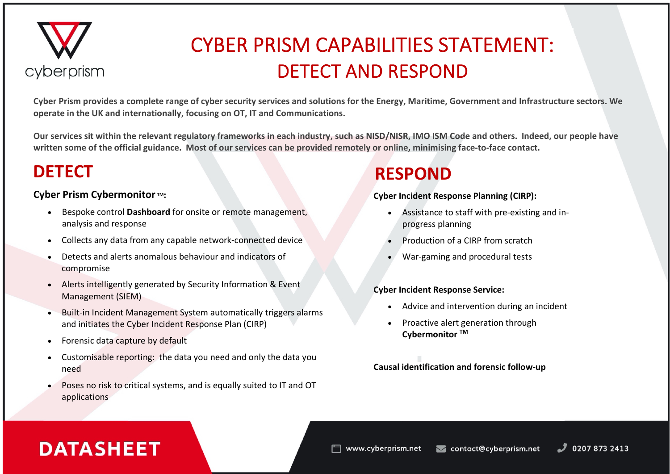

# CYBER PRISM CAPABILITIES STATEMENT: DETECT AND RESPOND

**Cyber Prism provides a complete range of cyber security services and solutions for the Energy, Maritime, Government and Infrastructure sectors. We operate in the UK and internationally, focusing on OT, IT and Communications.** 

**Our services sit within the relevant regulatory frameworks in each industry, such as NISD/NISR, IMO ISM Code and others. Indeed, our people have written some of the official guidance. Most of our services can be provided remotely or online, minimising face-to-face contact.**

### **DETECT**

### **Cyber Prism Cybermonitor TM:**

- Bespoke control **Dashboard** for onsite or remote management, analysis and response
- Collects any data from any capable network-connected device
- Detects and alerts anomalous behaviour and indicators of compromise
- Alerts intelligently generated by Security Information & Event Management (SIEM)
- Built-in Incident Management System automatically triggers alarms and initiates the Cyber Incident Response Plan (CIRP)
- Forensic data capture by default
- Customisable reporting: the data you need and only the data you need
- Poses no risk to critical systems, and is equally suited to IT and OT applications

### **RESPOND**

### **Cyber Incident Response Planning (CIRP):**

- Assistance to staff with pre-existing and inprogress planning
- Production of a CIRP from scratch
- War-gaming and procedural tests

### **Cyber Incident Response Service:**

- Advice and intervention during an incident
- Proactive alert generation through **Cybermonitor TM**

### **Causal identification and forensic follow-up**